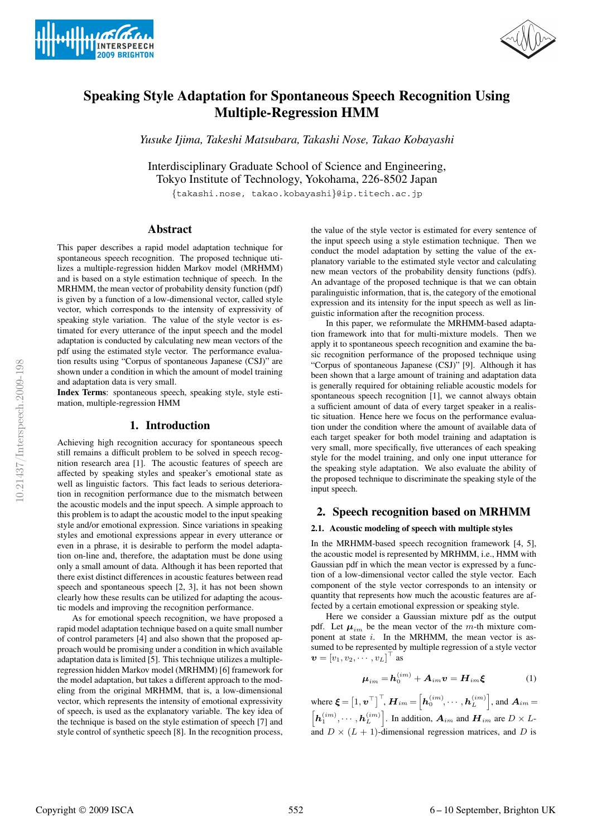



# **Speaking Style Adaptation for Spontaneous Speech Recognition Using Multiple-Regression HMM**

*Yusuke Ijima, Takeshi Matsubara, Takashi Nose, Takao Kobayashi*

Interdisciplinary Graduate School of Science and Engineering, Tokyo Institute of Technology, Yokohama, 226-8502 Japan

{takashi.nose, takao.kobayashi}@ip.titech.ac.jp

# **Abstract**

This paper describes a rapid model adaptation technique for spontaneous speech recognition. The proposed technique utilizes a multiple-regression hidden Markov model (MRHMM) and is based on a style estimation technique of speech. In the MRHMM, the mean vector of probability density function (pdf) is given by a function of a low-dimensional vector, called style vector, which corresponds to the intensity of expressivity of speaking style variation. The value of the style vector is estimated for every utterance of the input speech and the model adaptation is conducted by calculating new mean vectors of the pdf using the estimated style vector. The performance evaluation results using "Corpus of spontaneous Japanese (CSJ)" are shown under a condition in which the amount of model training and adaptation data is very small.

**Index Terms**: spontaneous speech, speaking style, style estimation, multiple-regression HMM

# **1. Introduction**

Achieving high recognition accuracy for spontaneous speech still remains a difficult problem to be solved in speech recognition research area [1]. The acoustic features of speech are affected by speaking styles and speaker's emotional state as well as linguistic factors. This fact leads to serious deterioration in recognition performance due to the mismatch between the acoustic models and the input speech. A simple approach to this problem is to adapt the acoustic model to the input speaking style and/or emotional expression. Since variations in speaking styles and emotional expressions appear in every utterance or even in a phrase, it is desirable to perform the model adaptation on-line and, therefore, the adaptation must be done using only a small amount of data. Although it has been reported that there exist distinct differences in acoustic features between read speech and spontaneous speech [2, 3], it has not been shown clearly how these results can be utilized for adapting the acoustic models and improving the recognition performance.

As for emotional speech recognition, we have proposed a rapid model adaptation technique based on a quite small number of control parameters [4] and also shown that the proposed approach would be promising under a condition in which available adaptation data is limited [5]. This technique utilizes a multipleregression hidden Markov model (MRHMM) [6] framework for the model adaptation, but takes a different approach to the modeling from the original MRHMM, that is, a low-dimensional vector, which represents the intensity of emotional expressivity of speech, is used as the explanatory variable. The key idea of the technique is based on the style estimation of speech [7] and style control of synthetic speech [8]. In the recognition process,

the value of the style vector is estimated for every sentence of the input speech using a style estimation technique. Then we conduct the model adaptation by setting the value of the explanatory variable to the estimated style vector and calculating new mean vectors of the probability density functions (pdfs). An advantage of the proposed technique is that we can obtain paralinguistic information, that is, the category of the emotional expression and its intensity for the input speech as well as linguistic information after the recognition process.

In this paper, we reformulate the MRHMM-based adaptation framework into that for multi-mixture models. Then we apply it to spontaneous speech recognition and examine the basic recognition performance of the proposed technique using "Corpus of spontaneous Japanese (CSJ)" [9]. Although it has been shown that a large amount of training and adaptation data is generally required for obtaining reliable acoustic models for spontaneous speech recognition [1], we cannot always obtain a sufficient amount of data of every target speaker in a realistic situation. Hence here we focus on the performance evaluation under the condition where the amount of available data of each target speaker for both model training and adaptation is very small, more specifically, five utterances of each speaking style for the model training, and only one input utterance for the speaking style adaptation. We also evaluate the ability of the proposed technique to discriminate the speaking style of the input speech.

# **2. Speech recognition based on MRHMM**

#### **2.1. Acoustic modeling of speech with multiple styles**

In the MRHMM-based speech recognition framework [4, 5], the acoustic model is represented by MRHMM, i.e., HMM with Gaussian pdf in which the mean vector is expressed by a function of a low-dimensional vector called the style vector. Each component of the style vector corresponds to an intensity or quantity that represents how much the acoustic features are affected by a certain emotional expression or speaking style.

Here we consider a Gaussian mixture pdf as the output pdf. Let  $\mu_{im}$  be the mean vector of the m-th mixture component at state i. In the MRHMM, the mean vector is assumed to be represented by multiple regression of a style vector  $\bm{v} = [v_1, v_2, \cdots, v_L]^\top$  as

$$
\boldsymbol{\mu}_{im} = \boldsymbol{h}_0^{(im)} + \boldsymbol{A}_{im}\boldsymbol{v} = \boldsymbol{H}_{im}\boldsymbol{\xi}
$$
 (1)

where  $\boldsymbol{\xi} = \left[1, \boldsymbol{v}^\top\right]^\top$ ,  $\boldsymbol{H}_{im} = \left[\boldsymbol{h}_0^{(im)}, \cdots, \boldsymbol{h}_L^{(im)}\right]$ , and  $\boldsymbol{A}_{im}$  $\left[\mathbf{h}_{1}^{(im)},\cdots,\mathbf{h}_{L}^{(im)}\right]$ . In addition,  $\mathbf{A}_{im}$  and  $\mathbf{H}_{im}$  are  $D\times L$ and  $D \times (L + 1)$ -dimensional regression matrices, and D is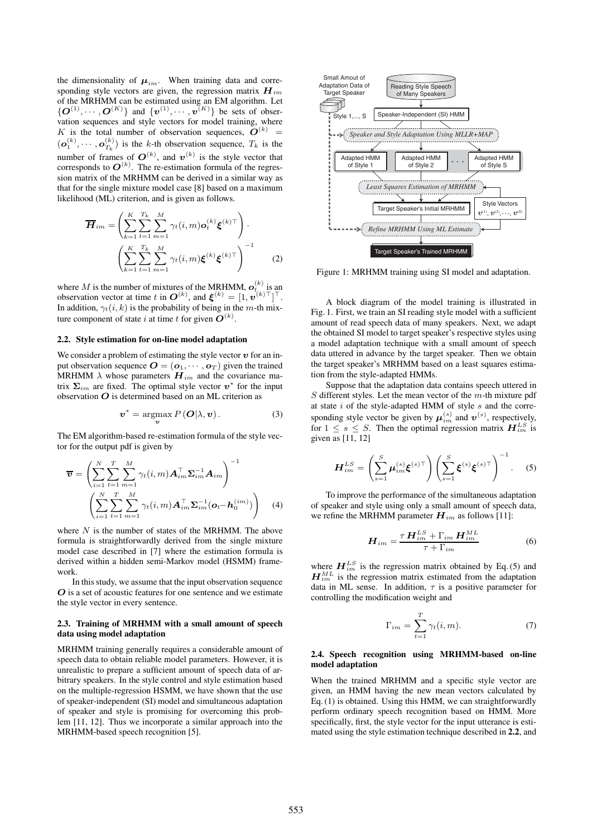the dimensionality of  $\mu_{im}$ . When training data and corresponding style vectors are given, the regression matrix  $\boldsymbol{H}_{im}$ of the MRHMM can be estimated using an EM algorithm. Let  $\{O^{(1)}, \cdots, O^{(K)}\}\$  and  $\{v^{(1)}, \cdots, v^{(K)}\}\$  be sets of observation sequences and style vectors for model training, where K is the total number of observation sequences,  $\widetilde{O}^{(k)}$  =  $(o_1^{(k)}, \dots, o_{T_k}^{(k)})$  is the k-th observation sequence,  $T_k$  is the number of frames of  $\mathbf{O}^{(k)}$ , and  $\mathbf{v}^{(k)}$  is the style vector that corresponds to  $\mathbf{O}^{(k)}$ . The re-estimation formula of the regression matrix of the MRHMM can be derived in a similar way as that for the single mixture model case [8] based on a maximum likelihood (ML) criterion, and is given as follows.

$$
\overline{H}_{im} = \left( \sum_{k=1}^{K} \sum_{t=1}^{T_k} \sum_{m=1}^{M} \gamma_t(i, m) \mathbf{o}_t^{(k)} \xi^{(k)\top} \right) \cdot \left( \sum_{k=1}^{K} \sum_{t=1}^{T_k} \sum_{m=1}^{M} \gamma_t(i, m) \xi^{(k)} \xi^{(k)\top} \right)^{-1}
$$
(2)

where M is the number of mixtures of the MRHMM,  $o_{t_{i}}^{(k)}$  is an observation vector at time t in  $\mathbf{O}^{(k)}$ , and  $\boldsymbol{\xi}^{(k)} = [1, \boldsymbol{v}^{(k)}]^\top$ . In addition,  $\gamma_t(i, k)$  is the probability of being in the m-th mixture component of state i at time t for given  $O^{(k)}$ .

#### **2.2. Style estimation for on-line model adaptation**

We consider a problem of estimating the style vector  $\boldsymbol{v}$  for an input observation sequence  $\mathbf{O} = (\mathbf{o}_1, \cdots, \mathbf{o}_T)$  given the trained MRHMM  $\lambda$  whose parameters  $\boldsymbol{H}_{im}$  and the covariance matrix  $\Sigma_{im}$  are fixed. The optimal style vector  $v^*$  for the input observation  $O$  is determined based on an ML criterion as

$$
\boldsymbol{v}^* = \operatorname*{argmax}_{\boldsymbol{v}} P\left(\boldsymbol{O}|\lambda, \boldsymbol{v}\right). \tag{3}
$$

The EM algorithm-based re-estimation formula of the style vector for the output pdf is given by

$$
\overline{\boldsymbol{v}} = \left( \sum_{i=1}^{N} \sum_{t=1}^{T} \sum_{m=1}^{M} \gamma_t(i, m) \mathbf{A}_{im}^{\top} \boldsymbol{\Sigma}_{im}^{-1} \mathbf{A}_{im} \right)^{-1} \left( \sum_{i=1}^{N} \sum_{t=1}^{T} \sum_{m=1}^{M} \gamma_t(i, m) \mathbf{A}_{im}^{\top} \boldsymbol{\Sigma}_{im}^{-1} (\boldsymbol{o}_t - \boldsymbol{h}_0^{(im)}) \right)
$$
(4)

where  $N$  is the number of states of the MRHMM. The above formula is straightforwardly derived from the single mixture model case described in [7] where the estimation formula is derived within a hidden semi-Markov model (HSMM) framework.

In this study, we assume that the input observation sequence O is a set of acoustic features for one sentence and we estimate the style vector in every sentence.

### **2.3. Training of MRHMM with a small amount of speech data using model adaptation**

MRHMM training generally requires a considerable amount of speech data to obtain reliable model parameters. However, it is unrealistic to prepare a sufficient amount of speech data of arbitrary speakers. In the style control and style estimation based on the multiple-regression HSMM, we have shown that the use of speaker-independent (SI) model and simultaneous adaptation of speaker and style is promising for overcoming this problem [11, 12]. Thus we incorporate a similar approach into the MRHMM-based speech recognition [5].



Figure 1: MRHMM training using SI model and adaptation.

A block diagram of the model training is illustrated in Fig. 1. First, we train an SI reading style model with a sufficient amount of read speech data of many speakers. Next, we adapt the obtained SI model to target speaker's respective styles using a model adaptation technique with a small amount of speech data uttered in advance by the target speaker. Then we obtain the target speaker's MRHMM based on a least squares estimation from the style-adapted HMMs.

Suppose that the adaptation data contains speech uttered in  $S$  different styles. Let the mean vector of the  $m$ -th mixture pdf at state  $i$  of the style-adapted HMM of style  $s$  and the corresponding style vector be given by  $\boldsymbol{\mu}_{im}^{(s)}$  and  $\boldsymbol{v}^{(s)}$ , respectively, for  $1 \leq s \leq S$ . Then the optimal regression matrix  $\mathbf{H}_{im}^{LS}$  is given as [11, 12]

$$
\boldsymbol{H}_{im}^{LS} = \left(\sum_{s=1}^{S} \boldsymbol{\mu}_{im}^{(s)} \boldsymbol{\xi}^{(s)\top}\right) \left(\sum_{s=1}^{S} \boldsymbol{\xi}^{(s)} \boldsymbol{\xi}^{(s)\top}\right)^{-1}.
$$
 (5)

To improve the performance of the simultaneous adaptation of speaker and style using only a small amount of speech data, we refine the MRHMM parameter  $H_{im}$  as follows [11]:

$$
\boldsymbol{H}_{im} = \frac{\tau \, \boldsymbol{H}_{im}^{LS} + \Gamma_{im} \, \boldsymbol{H}_{im}^{ML}}{\tau + \Gamma_{im}}
$$
(6)

where  $H_{im}^{LS}$  is the regression matrix obtained by Eq. (5) and  $H_{im}^{ML}$  is the regression matrix estimated from the adaptation data in ML sense. In addition,  $\tau$  is a positive parameter for controlling the modification weight and

$$
\Gamma_{im} = \sum_{t=1}^{T} \gamma_t(i, m). \tag{7}
$$

#### **2.4. Speech recognition using MRHMM-based on-line model adaptation**

When the trained MRHMM and a specific style vector are given, an HMM having the new mean vectors calculated by Eq. (1) is obtained. Using this HMM, we can straightforwardly perform ordinary speech recognition based on HMM. More specifically, first, the style vector for the input utterance is estimated using the style estimation technique described in **2.2**, and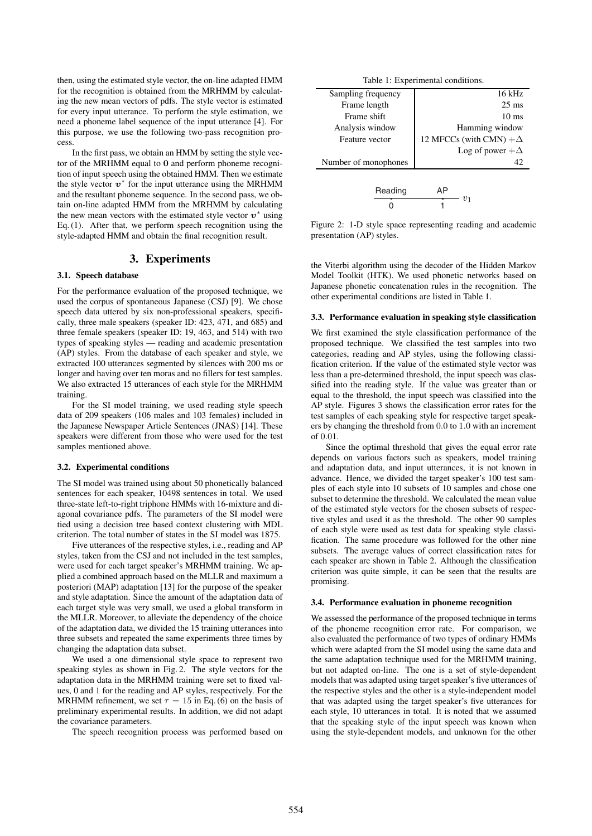then, using the estimated style vector, the on-line adapted HMM for the recognition is obtained from the MRHMM by calculating the new mean vectors of pdfs. The style vector is estimated for every input utterance. To perform the style estimation, we need a phoneme label sequence of the input utterance [4]. For this purpose, we use the following two-pass recognition process.

In the first pass, we obtain an HMM by setting the style vector of the MRHMM equal to 0 and perform phoneme recognition of input speech using the obtained HMM. Then we estimate the style vector  $v^*$  for the input utterance using the MRHMM and the resultant phoneme sequence. In the second pass, we obtain on-line adapted HMM from the MRHMM by calculating the new mean vectors with the estimated style vector  $v^*$  using Eq. (1). After that, we perform speech recognition using the style-adapted HMM and obtain the final recognition result.

# **3. Experiments**

# **3.1. Speech database**

For the performance evaluation of the proposed technique, we used the corpus of spontaneous Japanese (CSJ) [9]. We chose speech data uttered by six non-professional speakers, specifically, three male speakers (speaker ID: 423, 471, and 685) and three female speakers (speaker ID: 19, 463, and 514) with two types of speaking styles — reading and academic presentation (AP) styles. From the database of each speaker and style, we extracted 100 utterances segmented by silences with 200 ms or longer and having over ten moras and no fillers for test samples. We also extracted 15 utterances of each style for the MRHMM training.

For the SI model training, we used reading style speech data of 209 speakers (106 males and 103 females) included in the Japanese Newspaper Article Sentences (JNAS) [14]. These speakers were different from those who were used for the test samples mentioned above.

#### **3.2. Experimental conditions**

The SI model was trained using about 50 phonetically balanced sentences for each speaker, 10498 sentences in total. We used three-state left-to-right triphone HMMs with 16-mixture and diagonal covariance pdfs. The parameters of the SI model were tied using a decision tree based context clustering with MDL criterion. The total number of states in the SI model was 1875.

Five utterances of the respective styles, i.e., reading and AP styles, taken from the CSJ and not included in the test samples, were used for each target speaker's MRHMM training. We applied a combined approach based on the MLLR and maximum a posteriori (MAP) adaptation [13] for the purpose of the speaker and style adaptation. Since the amount of the adaptation data of each target style was very small, we used a global transform in the MLLR. Moreover, to alleviate the dependency of the choice of the adaptation data, we divided the 15 training utterances into three subsets and repeated the same experiments three times by changing the adaptation data subset.

We used a one dimensional style space to represent two speaking styles as shown in Fig. 2. The style vectors for the adaptation data in the MRHMM training were set to fixed values, 0 and 1 for the reading and AP styles, respectively. For the MRHMM refinement, we set  $\tau = 15$  in Eq. (6) on the basis of preliminary experimental results. In addition, we did not adapt the covariance parameters.

The speech recognition process was performed based on

| Sampling frequency   | $16$ kHz                      |
|----------------------|-------------------------------|
| Frame length         | $25 \text{ ms}$               |
| Frame shift          | $10 \text{ ms}$               |
| Analysis window      | Hamming window                |
| Feature vector       | 12 MFCCs (with CMN) $+\Delta$ |
|                      | Log of power $+\Delta$        |
| Number of monophones | 42                            |
|                      |                               |
| Reading              |                               |

Figure 2: 1-D style space representing reading and academic presentation (AP) styles.

1

 $- v_1$ 

 $\Omega$ 

the Viterbi algorithm using the decoder of the Hidden Markov Model Toolkit (HTK). We used phonetic networks based on Japanese phonetic concatenation rules in the recognition. The other experimental conditions are listed in Table 1.

#### **3.3. Performance evaluation in speaking style classification**

We first examined the style classification performance of the proposed technique. We classified the test samples into two categories, reading and AP styles, using the following classification criterion. If the value of the estimated style vector was less than a pre-determined threshold, the input speech was classified into the reading style. If the value was greater than or equal to the threshold, the input speech was classified into the AP style. Figures 3 shows the classification error rates for the test samples of each speaking style for respective target speakers by changing the threshold from 0.0 to 1.0 with an increment of 0.01.

Since the optimal threshold that gives the equal error rate depends on various factors such as speakers, model training and adaptation data, and input utterances, it is not known in advance. Hence, we divided the target speaker's 100 test samples of each style into 10 subsets of 10 samples and chose one subset to determine the threshold. We calculated the mean value of the estimated style vectors for the chosen subsets of respective styles and used it as the threshold. The other 90 samples of each style were used as test data for speaking style classification. The same procedure was followed for the other nine subsets. The average values of correct classification rates for each speaker are shown in Table 2. Although the classification criterion was quite simple, it can be seen that the results are promising.

#### **3.4. Performance evaluation in phoneme recognition**

We assessed the performance of the proposed technique in terms of the phoneme recognition error rate. For comparison, we also evaluated the performance of two types of ordinary HMMs which were adapted from the SI model using the same data and the same adaptation technique used for the MRHMM training, but not adapted on-line. The one is a set of style-dependent models that was adapted using target speaker's five utterances of the respective styles and the other is a style-independent model that was adapted using the target speaker's five utterances for each style, 10 utterances in total. It is noted that we assumed that the speaking style of the input speech was known when using the style-dependent models, and unknown for the other